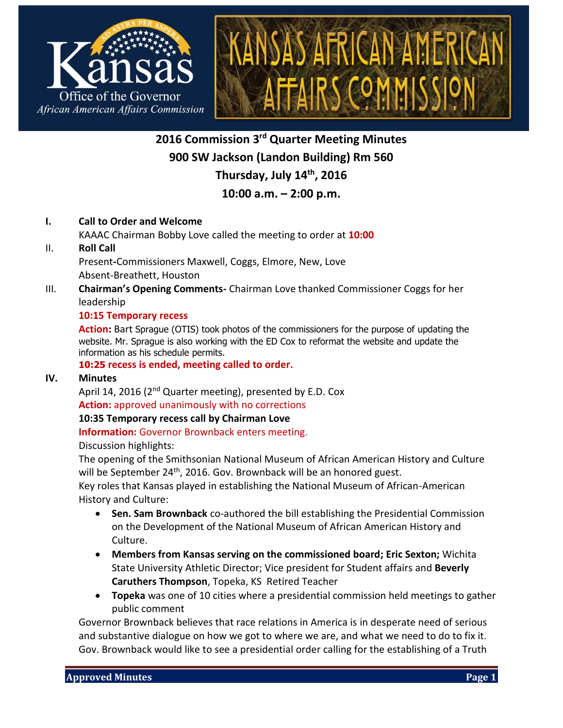



**2016 Commission 3 rd Quarter Meeting Minutes 900 SW Jackson (Landon Building) Rm 560 Thursday, July 14th, 2016**

# **10:00 a.m. – 2:00 p.m.**

### **I. Call to Order and Welcome**

KAAAC Chairman Bobby Love called the meeting to order at **10:00**

II. **Roll Call**

Present**-**Commissioners Maxwell, Coggs, Elmore, New, Love Absent-Breathett, Houston

III. **Chairman's Opening Comments-** Chairman Love thanked Commissioner Coggs for her leadership

#### **10:15 Temporary recess**

**Action:** Bart Sprague (OTIS) took photos of the commissioners for the purpose of updating the website. Mr. Sprague is also working with the ED Cox to reformat the website and update the information as his schedule permits.

**10:25 recess is ended, meeting called to order.**

# **IV. Minutes**

April 14, 2016 (2<sup>nd</sup> Quarter meeting), presented by E.D. Cox **Action:** approved unanimously with no corrections

#### **10:35 Temporary recess call by Chairman Love**

**Information:** Governor Brownback enters meeting.

Discussion highlights:

The opening of the Smithsonian National Museum of African American History and Culture will be September 24<sup>th</sup>, 2016. Gov. Brownback will be an honored guest.

Key roles that Kansas played in establishing the National Museum of African-American History and Culture:

- **Sen. Sam Brownback** co-authored the bill establishing the Presidential Commission on the Development of the National Museum of African American History and Culture.
- **Members from Kansas serving on the commissioned board; Eric Sexton;** Wichita State University Athletic Director; Vice president for Student affairs and **Beverly Caruthers Thompson**, Topeka, KS Retired Teacher
- **Topeka** was one of 10 cities where a presidential commission held meetings to gather public comment

Governor Brownback believes that race relations in America is in desperate need of serious and substantive dialogue on how we got to where we are, and what we need to do to fix it. Gov. Brownback would like to see a presidential order calling for the establishing of a Truth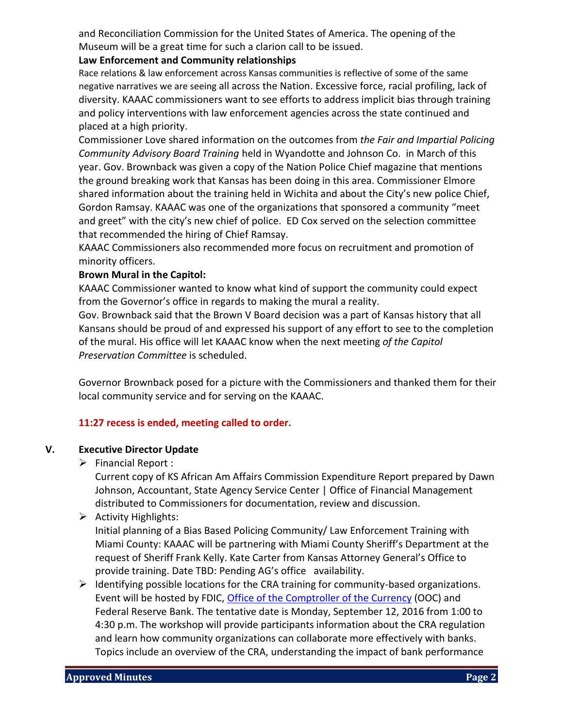and Reconciliation Commission for the United States of America. The opening of the Museum will be a great time for such a clarion call to be issued.

### **Law Enforcement and Community relationships**

Race relations & law enforcement across Kansas communities is reflective of some of the same negative narratives we are seeing all across the Nation. Excessive force, racial profiling, lack of diversity. KAAAC commissioners want to see efforts to address implicit bias through training and policy interventions with law enforcement agencies across the state continued and placed at a high priority.

Commissioner Love shared information on the outcomes from *the Fair and Impartial Policing Community Advisory Board Training* held in Wyandotte and Johnson Co. in March of this year. Gov. Brownback was given a copy of the Nation Police Chief magazine that mentions the ground breaking work that Kansas has been doing in this area. Commissioner Elmore shared information about the training held in Wichita and about the City's new police Chief, Gordon Ramsay. KAAAC was one of the organizations that sponsored a community "meet and greet" with the city's new chief of police. ED Cox served on the selection committee that recommended the hiring of Chief Ramsay.

KAAAC Commissioners also recommended more focus on recruitment and promotion of minority officers.

### **Brown Mural in the Capitol:**

KAAAC Commissioner wanted to know what kind of support the community could expect from the Governor's office in regards to making the mural a reality.

Gov. Brownback said that the Brown V Board decision was a part of Kansas history that all Kansans should be proud of and expressed his support of any effort to see to the completion of the mural. His office will let KAAAC know when the next meeting *of the Capitol Preservation Committee* is scheduled.

Governor Brownback posed for a picture with the Commissioners and thanked them for their local community service and for serving on the KAAAC.

# **11:27 recess is ended, meeting called to order.**

# **V. Executive Director Update**

 $\triangleright$  Financial Report :

Current copy of KS African Am Affairs Commission Expenditure Report prepared by Dawn Johnson, Accountant, State Agency Service Center | Office of Financial Management distributed to Commissioners for documentation, review and discussion.

# $\triangleright$  Activity Highlights:

Initial planning of a Bias Based Policing Community/ Law Enforcement Training with Miami County: KAAAC will be partnering with Miami County Sheriff's Department at the request of Sheriff Frank Kelly. Kate Carter from Kansas Attorney General's Office to provide training. Date TBD: Pending AG's office availability.

 $\triangleright$  Identifying possible locations for the CRA training for community-based organizations. Event will be hosted by FDIC, [Office of the Comptroller of the Currency](http://www.occ.gov/) (OOC) and Federal Reserve Bank. The tentative date is Monday, September 12, 2016 from 1:00 to 4:30 p.m. The workshop will provide participants information about the CRA regulation and learn how community organizations can collaborate more effectively with banks. Topics include an overview of the CRA, understanding the impact of bank performance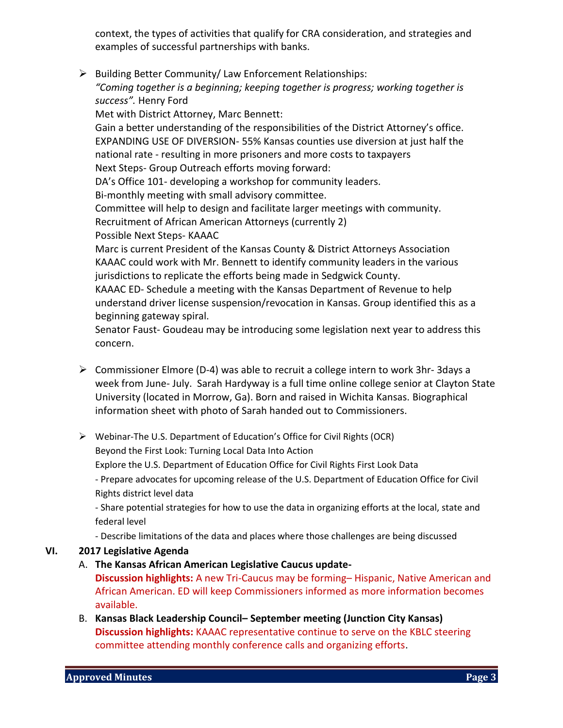context, the types of activities that qualify for CRA consideration, and strategies and examples of successful partnerships with banks.

 $\triangleright$  Building Better Community/ Law Enforcement Relationships: *"Coming together is a beginning; keeping together is progress; working together is* 

*success".* Henry Ford Met with District Attorney, Marc Bennett: Gain a better understanding of the responsibilities of the District Attorney's office. EXPANDING USE OF DIVERSION- 55% Kansas counties use diversion at just half the national rate - resulting in more prisoners and more costs to taxpayers Next Steps- Group Outreach efforts moving forward: DA's Office 101- developing a workshop for community leaders. Bi-monthly meeting with small advisory committee. Committee will help to design and facilitate larger meetings with community. Recruitment of African American Attorneys (currently 2) Possible Next Steps- KAAAC Marc is current President of the Kansas County & District Attorneys Association KAAAC could work with Mr. Bennett to identify community leaders in the various jurisdictions to replicate the efforts being made in Sedgwick County. KAAAC ED- Schedule a meeting with the Kansas Department of Revenue to help understand driver license suspension/revocation in Kansas. Group identified this as a beginning gateway spiral.

Senator Faust- Goudeau may be introducing some legislation next year to address this concern.

- $\triangleright$  Commissioner Elmore (D-4) was able to recruit a college intern to work 3hr-3days a week from June- July. Sarah Hardyway is a full time online college senior at Clayton State University (located in Morrow, Ga). Born and raised in Wichita Kansas. Biographical information sheet with photo of Sarah handed out to Commissioners.
- Webinar-The U.S. Department of Education's Office for Civil Rights (OCR) Beyond the First Look: Turning Local Data Into Action Explore the U.S. Department of Education Office for Civil Rights First Look Data - Prepare advocates for upcoming release of the U.S. Department of Education Office for Civil Rights district level data

- Share potential strategies for how to use the data in organizing efforts at the local, state and federal level

- Describe limitations of the data and places where those challenges are being discussed

#### **VI. 2017 Legislative Agenda**

A. **The Kansas African American Legislative Caucus update-**

**Discussion highlights:** A new Tri-Caucus may be forming– Hispanic, Native American and African American. ED will keep Commissioners informed as more information becomes available.

B. **Kansas Black Leadership Council– September meeting (Junction City Kansas) Discussion highlights:** KAAAC representative continue to serve on the KBLC steering committee attending monthly conference calls and organizing efforts.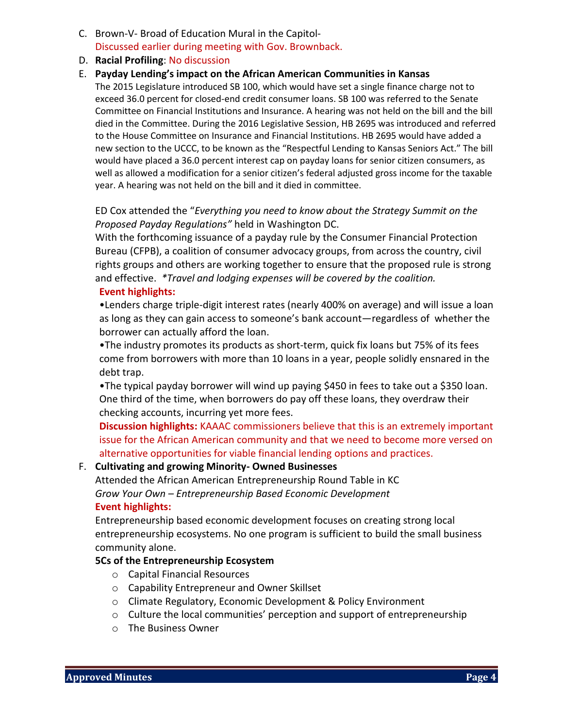- C. Brown-V- Broad of Education Mural in the Capitol-Discussed earlier during meeting with Gov. Brownback.
- D. **Racial Profiling**: No discussion

#### E. **Payday Lending's impact on the African American Communities in Kansas**

The 2015 Legislature introduced SB 100, which would have set a single finance charge not to exceed 36.0 percent for closed-end credit consumer loans. SB 100 was referred to the Senate Committee on Financial Institutions and Insurance. A hearing was not held on the bill and the bill died in the Committee. During the 2016 Legislative Session, HB 2695 was introduced and referred to the House Committee on Insurance and Financial Institutions. HB 2695 would have added a new section to the UCCC, to be known as the "Respectful Lending to Kansas Seniors Act." The bill would have placed a 36.0 percent interest cap on payday loans for senior citizen consumers, as well as allowed a modification for a senior citizen's federal adjusted gross income for the taxable year. A hearing was not held on the bill and it died in committee.

ED Cox attended the "*Everything you need to know about the Strategy Summit on the Proposed Payday Regulations"* held in Washington DC.

With the forthcoming issuance of a payday rule by the Consumer Financial Protection Bureau (CFPB), a coalition of consumer advocacy groups, from across the country, civil rights groups and others are working together to ensure that the proposed rule is strong and effective. *\*Travel and lodging expenses will be covered by the coalition.* **Event highlights:**

•Lenders charge triple-digit interest rates (nearly 400% on average) and will issue a loan as long as they can gain access to someone's bank account—regardless of whether the borrower can actually afford the loan.

•The industry promotes its products as short-term, quick fix loans but 75% of its fees come from borrowers with more than 10 loans in a year, people solidly ensnared in the debt trap.

•The typical payday borrower will wind up paying \$450 in fees to take out a \$350 loan. One third of the time, when borrowers do pay off these loans, they overdraw their checking accounts, incurring yet more fees.

**Discussion highlights:** KAAAC commissioners believe that this is an extremely important issue for the African American community and that we need to become more versed on alternative opportunities for viable financial lending options and practices.

#### F. **Cultivating and growing Minority- Owned Businesses**

Attended the African American Entrepreneurship Round Table in KC *Grow Your Own – Entrepreneurship Based Economic Development*

#### **Event highlights:**

Entrepreneurship based economic development focuses on creating strong local entrepreneurship ecosystems. No one program is sufficient to build the small business community alone.

#### **5Cs of the Entrepreneurship Ecosystem**

- o Capital Financial Resources
- o Capability Entrepreneur and Owner Skillset
- o Climate Regulatory, Economic Development & Policy Environment
- $\circ$  Culture the local communities' perception and support of entrepreneurship
- o The Business Owner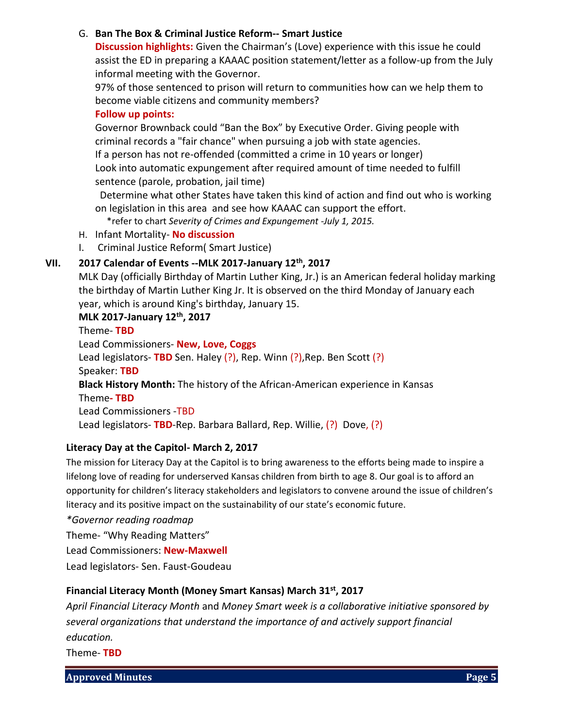### G. **Ban The Box & Criminal Justice Reform-- Smart Justice**

**Discussion highlights:** Given the Chairman's (Love) experience with this issue he could assist the ED in preparing a KAAAC position statement/letter as a follow-up from the July informal meeting with the Governor.

97% of those sentenced to prison will return to communities how can we help them to become viable citizens and community members?

#### **Follow up points:**

Governor Brownback could "Ban the Box" by Executive Order. Giving people with criminal records a "fair chance" when pursuing a job with state agencies. If a person has not re-offended (committed a crime in 10 years or longer) Look into automatic expungement after required amount of time needed to fulfill sentence (parole, probation, jail time)

Determine what other States have taken this kind of action and find out who is working on legislation in this area and see how KAAAC can support the effort.

\*refer to chart *Severity of Crimes and Expungement -July 1, 2015.*

- H. Infant Mortality- **No discussion**
- I. Criminal Justice Reform( Smart Justice)

#### **VII. 2017 Calendar of Events --MLK 2017-January 12th, 2017**

MLK Day (officially Birthday of Martin Luther King, Jr.) is an American federal holiday marking the birthday of Martin Luther King Jr. It is observed on the third Monday of January each year, which is around King's birthday, January 15.

# **MLK 2017-January 12th, 2017**

Theme- **TBD** Lead Commissioners- **New, Love, Coggs** Lead legislators- **TBD** Sen. Haley (?), Rep. Winn (?), Rep. Ben Scott (?) Speaker: **TBD Black History Month:** The history of the African-American experience in Kansas Theme**- TBD** Lead Commissioners -TBD Lead legislators- **TBD**-Rep. Barbara Ballard, Rep. Willie, (?) Dove, (?)

#### **Literacy Day at the Capitol- March 2, 2017**

The mission for Literacy Day at the Capitol is to bring awareness to the efforts being made to inspire a lifelong love of reading for underserved Kansas children from birth to age 8. Our goal is to afford an opportunity for children's literacy stakeholders and legislators to convene around the issue of children's literacy and its positive impact on the sustainability of our state's economic future.

*\*Governor reading roadmap*

Theme- "Why Reading Matters"

Lead Commissioners: **New-Maxwell**

Lead legislators- Sen. Faust-Goudeau

### **Financial Literacy Month (Money Smart Kansas) March 31st , 2017**

*April Financial Literacy Month* and *Money Smart week is a collaborative initiative sponsored by several organizations that understand the importance of and actively support financial education.* 

Theme- **TBD**